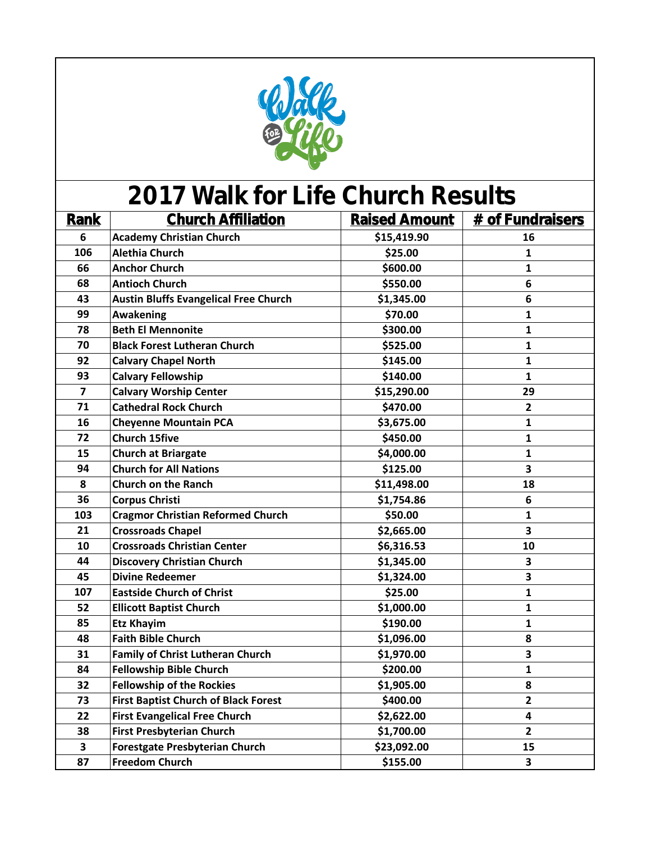

| <b>Rank</b>             | <b>Church Affiliation</b>                    | <b>Raised Amount</b> | # of Fundraisers        |
|-------------------------|----------------------------------------------|----------------------|-------------------------|
| 6                       | <b>Academy Christian Church</b>              | \$15,419.90          | 16                      |
| 106                     | <b>Alethia Church</b>                        | \$25.00              | 1                       |
| 66                      | <b>Anchor Church</b>                         | \$600.00             | 1                       |
| 68                      | <b>Antioch Church</b>                        | \$550.00             | 6                       |
| 43                      | <b>Austin Bluffs Evangelical Free Church</b> | \$1,345.00           | 6                       |
| 99                      | <b>Awakening</b>                             | \$70.00              | $\mathbf{1}$            |
| 78                      | <b>Beth El Mennonite</b>                     | \$300.00             | $\mathbf{1}$            |
| 70                      | <b>Black Forest Lutheran Church</b>          | \$525.00             | $\mathbf{1}$            |
| 92                      | <b>Calvary Chapel North</b>                  | \$145.00             | $\mathbf{1}$            |
| 93                      | <b>Calvary Fellowship</b>                    | \$140.00             | $\mathbf{1}$            |
| $\overline{\mathbf{z}}$ | <b>Calvary Worship Center</b>                | \$15,290.00          | 29                      |
| 71                      | <b>Cathedral Rock Church</b>                 | \$470.00             | $\mathbf{2}$            |
| 16                      | <b>Cheyenne Mountain PCA</b>                 | \$3,675.00           | $\mathbf{1}$            |
| 72                      | <b>Church 15five</b>                         | \$450.00             | $\mathbf{1}$            |
| 15                      | <b>Church at Briargate</b>                   | \$4,000.00           | $\mathbf{1}$            |
| 94                      | <b>Church for All Nations</b>                | \$125.00             | $\overline{\mathbf{3}}$ |
| 8                       | <b>Church on the Ranch</b>                   | \$11,498.00          | 18                      |
| 36                      | <b>Corpus Christi</b>                        | \$1,754.86           | 6                       |
| 103                     | <b>Cragmor Christian Reformed Church</b>     | \$50.00              | $\mathbf{1}$            |
| 21                      | <b>Crossroads Chapel</b>                     | \$2,665.00           | $\overline{\mathbf{3}}$ |
| 10                      | <b>Crossroads Christian Center</b>           | \$6,316.53           | 10                      |
| 44                      | <b>Discovery Christian Church</b>            | \$1,345.00           | 3                       |
| 45                      | <b>Divine Redeemer</b>                       | \$1,324.00           | 3                       |
| 107                     | <b>Eastside Church of Christ</b>             | \$25.00              | $\mathbf{1}$            |
| 52                      | <b>Ellicott Baptist Church</b>               | \$1,000.00           | $\mathbf{1}$            |
| 85                      | <b>Etz Khayim</b>                            | \$190.00             | $\mathbf{1}$            |
| 48                      | <b>Faith Bible Church</b>                    | \$1,096.00           | 8                       |
| 31                      | <b>Family of Christ Lutheran Church</b>      | \$1,970.00           | 3                       |
| 84                      | <b>Fellowship Bible Church</b>               | \$200.00             | $\mathbf{1}$            |
| 32                      | <b>Fellowship of the Rockies</b>             | \$1,905.00           | 8                       |
| 73                      | <b>First Baptist Church of Black Forest</b>  | \$400.00             | $\overline{2}$          |
| 22                      | <b>First Evangelical Free Church</b>         | \$2,622.00           | 4                       |
| 38                      | <b>First Presbyterian Church</b>             | \$1,700.00           | $\overline{2}$          |
| $\overline{\mathbf{3}}$ | <b>Forestgate Presbyterian Church</b>        | \$23,092.00          | 15                      |
| 87                      | <b>Freedom Church</b>                        | \$155.00             | $\overline{\mathbf{3}}$ |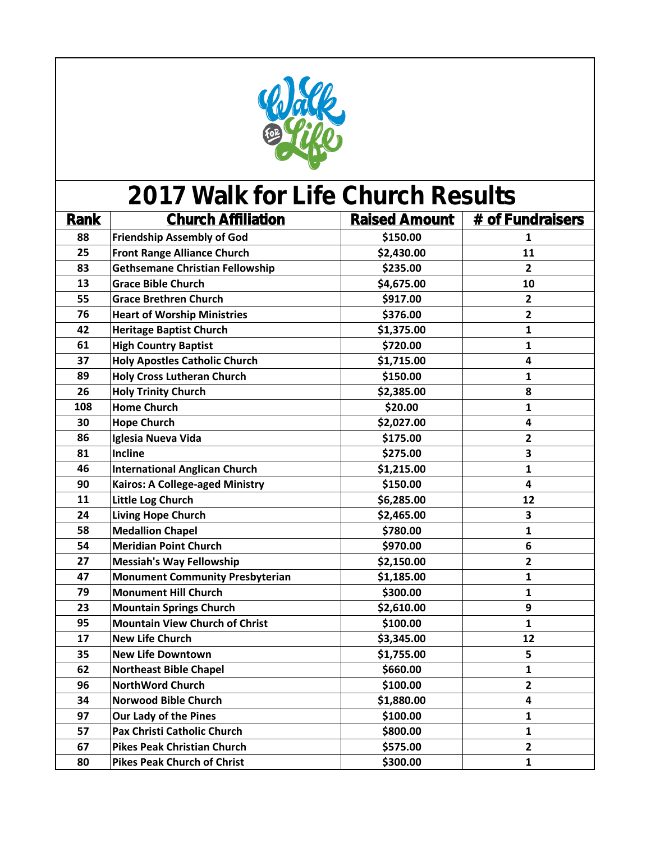

| <b>Rank</b> | <b>Church Affiliation</b>              | <b>Raised Amount</b> | # of Fundraisers |
|-------------|----------------------------------------|----------------------|------------------|
| 88          | <b>Friendship Assembly of God</b>      | \$150.00             | 1                |
| 25          | <b>Front Range Alliance Church</b>     | \$2,430.00           | 11               |
| 83          | <b>Gethsemane Christian Fellowship</b> | \$235.00             | $\overline{2}$   |
| 13          | <b>Grace Bible Church</b>              | \$4,675.00           | 10               |
| 55          | <b>Grace Brethren Church</b>           | \$917.00             | $\overline{2}$   |
| 76          | <b>Heart of Worship Ministries</b>     | \$376.00             | $\mathbf{2}$     |
| 42          | <b>Heritage Baptist Church</b>         | \$1,375.00           | $\mathbf{1}$     |
| 61          | <b>High Country Baptist</b>            | \$720.00             | $\mathbf{1}$     |
| 37          | <b>Holy Apostles Catholic Church</b>   | \$1,715.00           | 4                |
| 89          | <b>Holy Cross Lutheran Church</b>      | \$150.00             | $\mathbf{1}$     |
| 26          | <b>Holy Trinity Church</b>             | \$2,385.00           | 8                |
| 108         | <b>Home Church</b>                     | \$20.00              | $\mathbf{1}$     |
| 30          | <b>Hope Church</b>                     | \$2,027.00           | 4                |
| 86          | Iglesia Nueva Vida                     | \$175.00             | $\overline{2}$   |
| 81          | Incline                                | \$275.00             | 3                |
| 46          | <b>International Anglican Church</b>   | \$1,215.00           | $\mathbf{1}$     |
| 90          | <b>Kairos: A College-aged Ministry</b> | \$150.00             | 4                |
| 11          | Little Log Church                      | \$6,285.00           | 12               |
| 24          | <b>Living Hope Church</b>              | \$2,465.00           | 3                |
| 58          | <b>Medallion Chapel</b>                | \$780.00             | $\mathbf{1}$     |
| 54          | <b>Meridian Point Church</b>           | \$970.00             | $6\phantom{1}6$  |
| 27          | <b>Messiah's Way Fellowship</b>        | \$2,150.00           | $\overline{2}$   |
| 47          | <b>Monument Community Presbyterian</b> | \$1,185.00           | $\mathbf{1}$     |
| 79          | <b>Monument Hill Church</b>            | \$300.00             | $\mathbf{1}$     |
| 23          | <b>Mountain Springs Church</b>         | \$2,610.00           | 9                |
| 95          | <b>Mountain View Church of Christ</b>  | \$100.00             | $\mathbf{1}$     |
| 17          | <b>New Life Church</b>                 | \$3,345.00           | 12               |
| 35          | <b>New Life Downtown</b>               | \$1,755.00           | 5                |
| 62          | <b>Northeast Bible Chapel</b>          | \$660.00             | $\mathbf{1}$     |
| 96          | <b>NorthWord Church</b>                | \$100.00             | $\overline{2}$   |
| 34          | <b>Norwood Bible Church</b>            | \$1,880.00           | 4                |
| 97          | <b>Our Lady of the Pines</b>           | \$100.00             | $\mathbf{1}$     |
| 57          | Pax Christi Catholic Church            | \$800.00             | $\mathbf{1}$     |
| 67          | <b>Pikes Peak Christian Church</b>     | \$575.00             | $\mathbf{2}$     |
| 80          | <b>Pikes Peak Church of Christ</b>     | \$300.00             | $\mathbf{1}$     |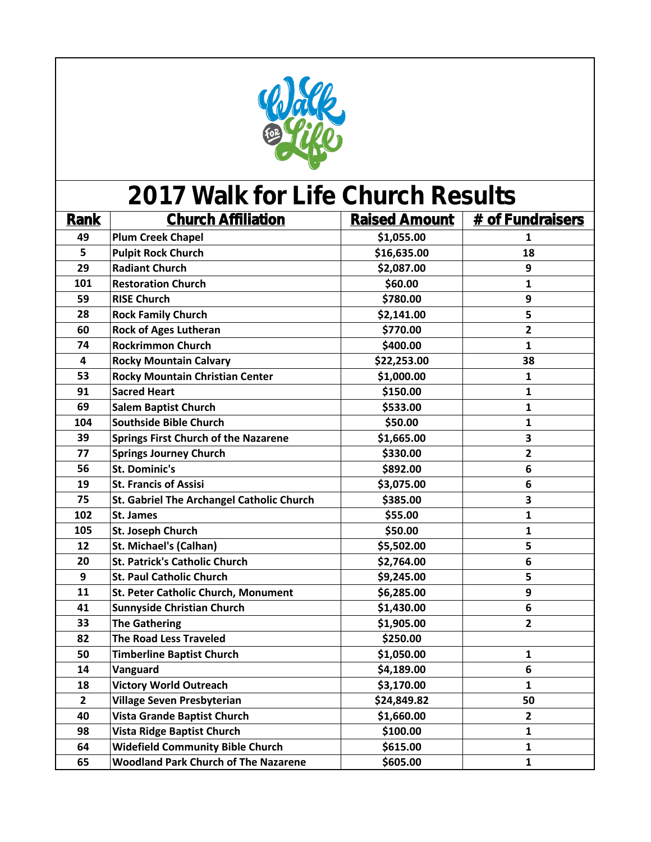

| Rank           | <b>Church Affiliation</b>                   | <b>Raised Amount</b> | # of Fundraisers |
|----------------|---------------------------------------------|----------------------|------------------|
| 49             | <b>Plum Creek Chapel</b>                    | \$1,055.00           | 1                |
| 5              | <b>Pulpit Rock Church</b>                   | \$16,635.00          | 18               |
| 29             | <b>Radiant Church</b>                       | \$2,087.00           | 9                |
| 101            | <b>Restoration Church</b>                   | \$60.00              | $\mathbf{1}$     |
| 59             | <b>RISE Church</b>                          | \$780.00             | 9                |
| 28             | <b>Rock Family Church</b>                   | \$2,141.00           | 5                |
| 60             | <b>Rock of Ages Lutheran</b>                | \$770.00             | $\overline{2}$   |
| 74             | <b>Rockrimmon Church</b>                    | \$400.00             | $\mathbf{1}$     |
| 4              | <b>Rocky Mountain Calvary</b>               | \$22,253.00          | 38               |
| 53             | <b>Rocky Mountain Christian Center</b>      | \$1,000.00           | $\mathbf{1}$     |
| 91             | <b>Sacred Heart</b>                         | \$150.00             | $\mathbf{1}$     |
| 69             | <b>Salem Baptist Church</b>                 | \$533.00             | 1                |
| 104            | <b>Southside Bible Church</b>               | \$50.00              | $\mathbf{1}$     |
| 39             | <b>Springs First Church of the Nazarene</b> | \$1,665.00           | 3                |
| 77             | <b>Springs Journey Church</b>               | \$330.00             | $\overline{2}$   |
| 56             | <b>St. Dominic's</b>                        | \$892.00             | 6                |
| 19             | <b>St. Francis of Assisi</b>                | \$3,075.00           | 6                |
| 75             | St. Gabriel The Archangel Catholic Church   | \$385.00             | 3                |
| 102            | St. James                                   | \$55.00              | $\mathbf{1}$     |
| 105            | St. Joseph Church                           | \$50.00              | $\mathbf{1}$     |
| 12             | <b>St. Michael's (Calhan)</b>               | \$5,502.00           | 5                |
| 20             | <b>St. Patrick's Catholic Church</b>        | \$2,764.00           | 6                |
| 9              | <b>St. Paul Catholic Church</b>             | \$9,245.00           | 5                |
| 11             | St. Peter Catholic Church, Monument         | \$6,285.00           | 9                |
| 41             | <b>Sunnyside Christian Church</b>           | \$1,430.00           | $\boldsymbol{6}$ |
| 33             | <b>The Gathering</b>                        | \$1,905.00           | $\mathbf{2}$     |
| 82             | <b>The Road Less Traveled</b>               | \$250.00             |                  |
| 50             | <b>Timberline Baptist Church</b>            | \$1,050.00           | 1                |
| 14             | Vanguard                                    | \$4,189.00           | $6\phantom{1}6$  |
| 18             | <b>Victory World Outreach</b>               | \$3,170.00           | $\mathbf{1}$     |
| $\overline{2}$ | <b>Village Seven Presbyterian</b>           | \$24,849.82          | 50               |
| 40             | <b>Vista Grande Baptist Church</b>          | \$1,660.00           | $\mathbf{2}$     |
| 98             | <b>Vista Ridge Baptist Church</b>           | \$100.00             | $\mathbf{1}$     |
| 64             | <b>Widefield Community Bible Church</b>     | \$615.00             | $\mathbf{1}$     |
| 65             | <b>Woodland Park Church of The Nazarene</b> | \$605.00             | $\mathbf{1}$     |